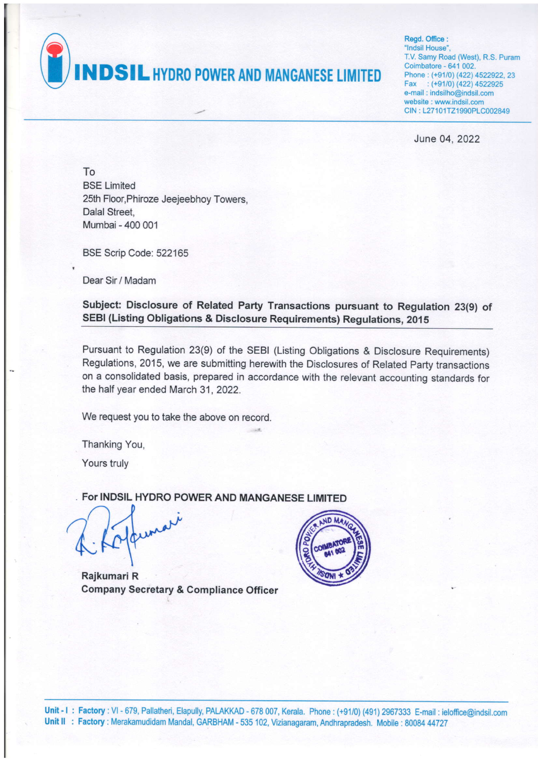**NDSIL HYDRO POWER AND MANGANESE LIMITED** 

Read. Office : "lndsil House'. T.V. Samy Road (West), R.S. Puram Coimbatore - 641 002. Phone : (+91/0) (422) 4522922,23 Fax: (+91/0) (422) 4522925 e-mail : indsilho@indsil.com website : www.indsil.com CIN : L27101TZ1990PLC002849

June 04, 2022

To BSE Limited 25th Floor,Phiroze Jeejeebhoy Towers, Dalal Street, Mumbai - 400 001

BSE Scrip Code: 522165

Dear Sir / Madam

Subject: Disclosure of Related Party Transactions pursuant to Regulation 23(9) of SEBI (Listing Obligations & Disclosure Requirements) Regulations, 2015

Pursuant to Regulation 23(9) of the sEBl (Listing obligations & Disclosure Requirements) Regulations, 2015, we are submitting herewith the Disclosures of Related Party transactions on a consolidated basis, prepared in accordance with the relevant accounting standards for the half year ended March 31, 2022.

We request you to take the above on record.

Thanking You,

Yours truly

For INDSIL HYDRO POWER AND MANGANESE LIMITED

Rajkumari R Company Secretary & Compliance Officer

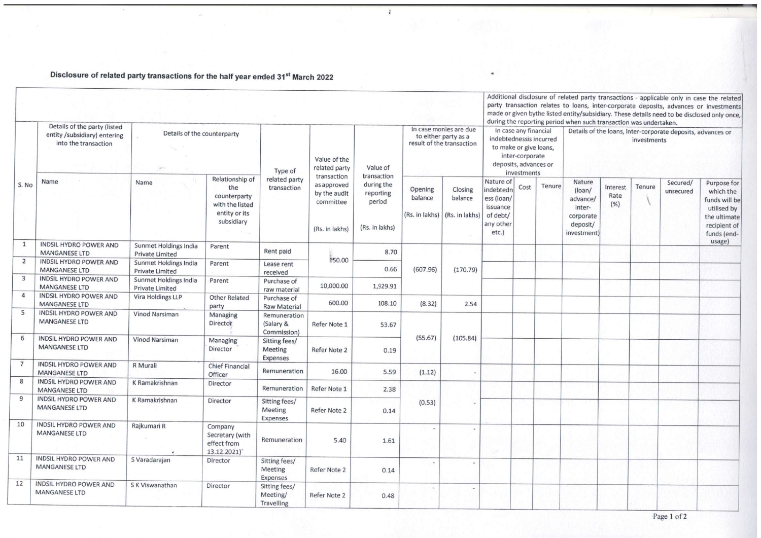Disclosure of related party transactions for the half year ended 31st March 2022

|                  |                                                                                      |                                                 |                                                                                          |                                                                    |                                                                           |                                                                    |                                                                             |                                      |                                                                                                                                       | Additional disclosure of related party transactions - applicable only in case the related<br>party transaction relates to loans, inter-corporate deposits, advances or investments<br>made or given bythe listed entity/subsidiary. These details need to be disclosed only once,<br>during the reporting period when such transaction was undertaken. |        |                                                                                |                          |        |                       |                                                                                                         |  |  |
|------------------|--------------------------------------------------------------------------------------|-------------------------------------------------|------------------------------------------------------------------------------------------|--------------------------------------------------------------------|---------------------------------------------------------------------------|--------------------------------------------------------------------|-----------------------------------------------------------------------------|--------------------------------------|---------------------------------------------------------------------------------------------------------------------------------------|--------------------------------------------------------------------------------------------------------------------------------------------------------------------------------------------------------------------------------------------------------------------------------------------------------------------------------------------------------|--------|--------------------------------------------------------------------------------|--------------------------|--------|-----------------------|---------------------------------------------------------------------------------------------------------|--|--|
| S. No            | Details of the party (listed<br>entity /subsidiary) entering<br>into the transaction | Details of the counterparty                     |                                                                                          | Type of                                                            | Value of the<br>related party                                             | Value of                                                           | In case monies are due<br>to either party as a<br>result of the transaction |                                      | In case any financial<br>indebtednessis incurred<br>to make or give loans,<br>inter-corporate<br>deposits, advances or<br>investments |                                                                                                                                                                                                                                                                                                                                                        |        | Details of the loans, inter-corporate deposits, advances or<br>investments     |                          |        |                       |                                                                                                         |  |  |
|                  | Name                                                                                 | Name                                            | Relationship of<br>the<br>counterparty<br>with the listed<br>entity or its<br>subsidiary | related party<br>transaction                                       | transaction<br>as approved<br>by the audit<br>committee<br>(Rs. in lakhs) | transaction<br>during the<br>reporting<br>period<br>(Rs. in lakhs) | Opening<br>balance<br>(Rs. in lakhs)                                        | Closing<br>balance<br>(Rs. in lakhs) | Nature of<br>indebtedn<br>ess (loan/<br>issuance<br>of debt/<br>any other<br>$etc.$ )                                                 | Cost                                                                                                                                                                                                                                                                                                                                                   | Tenure | Nature<br>(loan/<br>advance/<br>inter-<br>corporate<br>deposit/<br>investment) | Interest<br>Rate<br>(% ) | Tenure | Secured/<br>unsecured | Purpose for<br>which the<br>funds will be<br>utilised by<br>the ultimate<br>recipient of<br>funds (end- |  |  |
| $\mathbf{1}$     | <b>INDSIL HYDRO POWER AND</b><br><b>MANGANESE LTD</b>                                | Sunmet Holdings India<br><b>Private Limited</b> | Parent                                                                                   | Rent paid<br>Lease rent<br>received<br>Purchase of<br>raw material | 150.00                                                                    | 8.70                                                               |                                                                             | (170.79)                             |                                                                                                                                       |                                                                                                                                                                                                                                                                                                                                                        |        |                                                                                |                          |        |                       | usage)                                                                                                  |  |  |
| $\overline{2}$   | <b>INDSIL HYDRO POWER AND</b><br><b>MANGANESE LTD</b>                                | Sunmet Holdings India<br><b>Private Limited</b> | Parent                                                                                   |                                                                    |                                                                           | 0.66                                                               | (607.96)                                                                    |                                      |                                                                                                                                       |                                                                                                                                                                                                                                                                                                                                                        |        |                                                                                |                          |        |                       |                                                                                                         |  |  |
| 3                | <b>INDSIL HYDRO POWER AND</b><br><b>MANGANESE LTD</b>                                | Sunmet Holdings India<br><b>Private Limited</b> | Parent                                                                                   |                                                                    | 10,000.00                                                                 | 1,929.91                                                           |                                                                             |                                      |                                                                                                                                       |                                                                                                                                                                                                                                                                                                                                                        |        |                                                                                |                          |        |                       |                                                                                                         |  |  |
| $\boldsymbol{A}$ | <b>INDSIL HYDRO POWER AND</b><br><b>MANGANESE LTD</b>                                | Vira Holdings LLP                               | <b>Other Related</b><br>party                                                            | Purchase of<br><b>Raw Material</b>                                 | 600.00                                                                    | 108.10                                                             | (8.32)                                                                      | 2.54                                 |                                                                                                                                       |                                                                                                                                                                                                                                                                                                                                                        |        |                                                                                |                          |        |                       |                                                                                                         |  |  |
| 5                | <b>INDSIL HYDRO POWER AND</b><br><b>MANGANESE LTD</b>                                | Vinod Narsiman                                  | Managing<br>Director                                                                     | Remuneration<br>(Salary &<br>Commission)                           | Refer Note 1                                                              | 53.67                                                              |                                                                             |                                      |                                                                                                                                       |                                                                                                                                                                                                                                                                                                                                                        |        |                                                                                |                          |        |                       |                                                                                                         |  |  |
| 6                | <b>INDSIL HYDRO POWER AND</b><br><b>MANGANESE LTD</b>                                | Vinod Narsiman                                  | Managing<br>Director                                                                     | Sitting fees/<br>Meeting<br>Expenses                               | Refer Note 2                                                              | 0.19                                                               | (55.67)                                                                     | (105.84)                             |                                                                                                                                       |                                                                                                                                                                                                                                                                                                                                                        |        |                                                                                |                          |        |                       |                                                                                                         |  |  |
| 7                | <b>INDSIL HYDRO POWER AND</b><br><b>MANGANESE LTD</b>                                | R Murali                                        | <b>Chief Financial</b><br>Officer                                                        | Remuneration                                                       | 16.00                                                                     | 5.59                                                               | (1.12)                                                                      |                                      |                                                                                                                                       |                                                                                                                                                                                                                                                                                                                                                        |        |                                                                                |                          |        |                       |                                                                                                         |  |  |
| 8                | <b>INDSIL HYDRO POWER AND</b><br><b>MANGANESE LTD</b>                                | K Ramakrishnan                                  | Director                                                                                 | Remuneration                                                       | Refer Note 1                                                              | 2.38                                                               |                                                                             |                                      |                                                                                                                                       |                                                                                                                                                                                                                                                                                                                                                        |        |                                                                                |                          |        |                       |                                                                                                         |  |  |
| 9                | <b>INDSIL HYDRO POWER AND</b><br><b>MANGANESE LTD</b>                                | K Ramakrishnan                                  | Director                                                                                 | Sitting fees/<br>Meeting<br>Expenses                               | Refer Note 2                                                              | 0.14                                                               | (0.53)                                                                      |                                      |                                                                                                                                       |                                                                                                                                                                                                                                                                                                                                                        |        |                                                                                |                          |        |                       |                                                                                                         |  |  |
| 10               | INDSIL HYDRO POWER AND<br><b>MANGANESE LTD</b>                                       | Rajkumari R                                     | Company<br>Secretary (with<br>effect from<br>13.12.2021)*                                | Remuneration                                                       | 5.40                                                                      | 1.61                                                               |                                                                             |                                      |                                                                                                                                       |                                                                                                                                                                                                                                                                                                                                                        |        |                                                                                |                          |        |                       |                                                                                                         |  |  |
| 11               | <b>INDSIL HYDRO POWER AND</b><br><b>MANGANESE LTD</b>                                | S Varadarajan                                   | Director                                                                                 | Sitting fees/<br>Meeting<br>Expenses                               | Refer Note 2                                                              | 0.14                                                               |                                                                             |                                      |                                                                                                                                       |                                                                                                                                                                                                                                                                                                                                                        |        |                                                                                |                          |        |                       |                                                                                                         |  |  |
| 12               | <b>INDSIL HYDRO POWER AND</b><br><b>MANGANESE LTD</b>                                | S K Viswanathan                                 | Director                                                                                 | Sitting fees/<br>Meeting/<br>Travelling                            | Refer Note 2                                                              | 0.48                                                               |                                                                             |                                      |                                                                                                                                       |                                                                                                                                                                                                                                                                                                                                                        |        |                                                                                |                          |        |                       |                                                                                                         |  |  |

 $\overline{t}$ 

Page 1 of 2